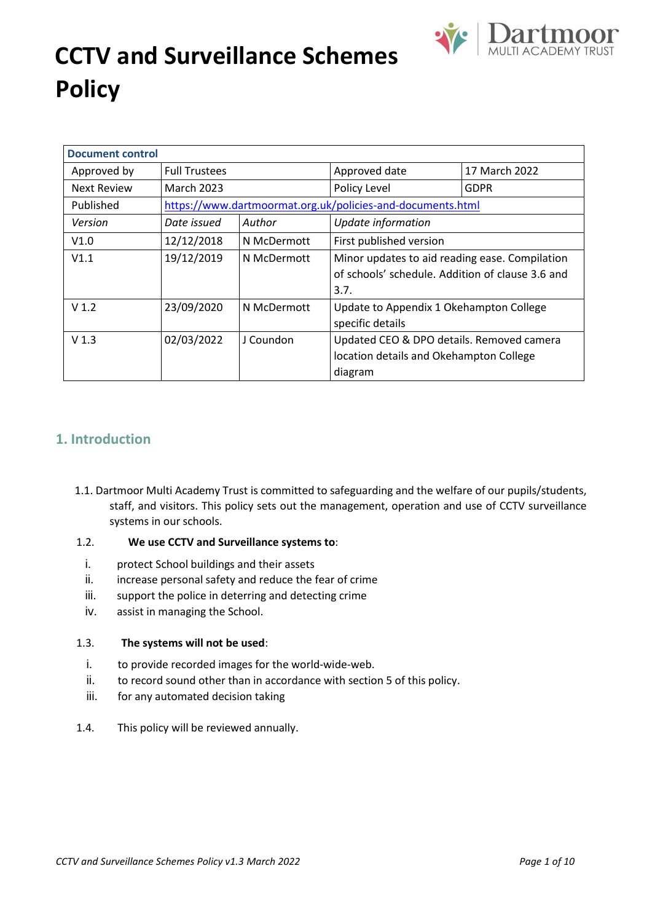

## **CCTV and Surveillance Schemes Policy**

| <b>Document control</b>                     |                           |             |                                                            |                                                  |  |  |
|---------------------------------------------|---------------------------|-------------|------------------------------------------------------------|--------------------------------------------------|--|--|
| Approved by                                 | <b>Full Trustees</b>      |             | Approved date                                              | 17 March 2022                                    |  |  |
| <b>Next Review</b>                          | <b>March 2023</b>         |             | Policy Level                                               | <b>GDPR</b>                                      |  |  |
| Published                                   |                           |             | https://www.dartmoormat.org.uk/policies-and-documents.html |                                                  |  |  |
| Version                                     | Date issued               | Author      | Update information                                         |                                                  |  |  |
| V1.0                                        | 12/12/2018                | N McDermott | First published version                                    |                                                  |  |  |
| V1.1                                        | 19/12/2019<br>N McDermott |             | Minor updates to aid reading ease. Compilation             |                                                  |  |  |
|                                             |                           |             |                                                            | of schools' schedule. Addition of clause 3.6 and |  |  |
|                                             |                           |             | 3.7.                                                       |                                                  |  |  |
| V <sub>1.2</sub>                            | 23/09/2020                | N McDermott | Update to Appendix 1 Okehampton College                    |                                                  |  |  |
|                                             |                           |             | specific details                                           |                                                  |  |  |
| 02/03/2022<br>V <sub>1.3</sub><br>J Coundon |                           |             | Updated CEO & DPO details. Removed camera                  |                                                  |  |  |
|                                             |                           |             | location details and Okehampton College                    |                                                  |  |  |
|                                             |                           |             | diagram                                                    |                                                  |  |  |

#### **1. Introduction**

- 1.1. Dartmoor Multi Academy Trust is committed to safeguarding and the welfare of our pupils/students, staff, and visitors. This policy sets out the management, operation and use of CCTV surveillance systems in our schools.
- 1.2. **We use CCTV and Surveillance systems to**:
	- i. protect School buildings and their assets
	- ii. increase personal safety and reduce the fear of crime
	- iii. support the police in deterring and detecting crime
	- iv. assist in managing the School.

#### 1.3. **The systems will not be used**:

- i. to provide recorded images for the world-wide-web.
- ii. to record sound other than in accordance with section 5 of this policy.
- iii. for any automated decision taking
- 1.4. This policy will be reviewed annually.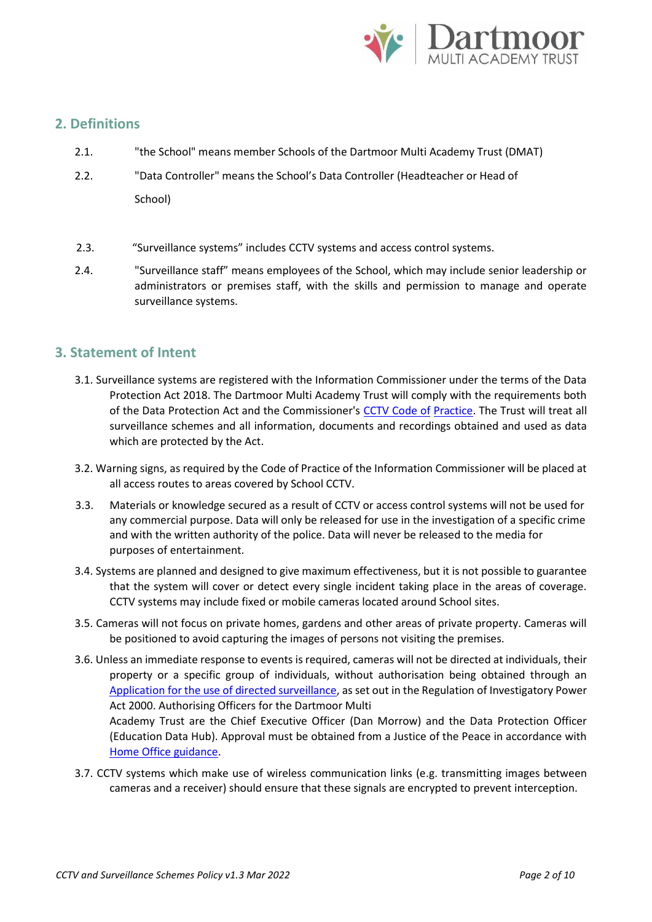

#### **2. Definitions**

- 2.1. "the School" means member Schools of the Dartmoor Multi Academy Trust (DMAT)
- 2.2. "Data Controller" means the School's Data Controller (Headteacher or Head of School)
- 2.3. "Surveillance systems" includes CCTV systems and access control systems.
- 2.4. "Surveillance staff" means employees of the School, which may include senior leadership or administrators or premises staff, with the skills and permission to manage and operate surveillance systems.

#### **3. Statement of Intent**

- 3.1. Surveillance systems are registered with the Information Commissioner under the terms of the Data Protection Act 2018. The Dartmoor Multi Academy Trust will comply with the requirements both of the Data Protection Act and the Commissioner's [CCTV Code of](https://ico.org.uk/media/1542/cctv-code-of-practice.pdf) [Practice.](https://ico.org.uk/media/1542/cctv-code-of-practice.pdf) The Trust will treat all surveillance schemes and all information, documents and recordings obtained and used as data which are protected by the Act.
- 3.2. Warning signs, as required by the Code of Practice of the Information Commissioner will be placed at all access routes to areas covered by School CCTV.
- 3.3. Materials or knowledge secured as a result of CCTV or access control systems will not be used for any commercial purpose. Data will only be released for use in the investigation of a specific crime and with the written authority of the police. Data will never be released to the media for purposes of entertainment.
- 3.4. Systems are planned and designed to give maximum effectiveness, but it is not possible to guarantee that the system will cover or detect every single incident taking place in the areas of coverage. CCTV systems may include fixed or mobile cameras located around School sites.
- 3.5. Cameras will not focus on private homes, gardens and other areas of private property. Cameras will be positioned to avoid capturing the images of persons not visiting the premises.
- 3.6. Unless an immediate response to events is required, cameras will not be directed at individuals, their property or a specific group of individuals, without authorisation being obtained through an [Application for the use of directed surveillance,](https://www.gov.uk/government/publications/application-for-use-of-directed-surveillance) as set out in the Regulation of Investigatory Power Act 2000. Authorising Officers for the Dartmoor Multi

Academy Trust are the Chief Executive Officer (Dan Morrow) and the Data Protection Officer (Education Data Hub). Approval must be obtained from a Justice of the Peace in accordance with [Home Office guidance.](https://assets.publishing.service.gov.uk/government/uploads/system/uploads/attachment_data/file/118173/local-authority-england-wales.pdf) 

3.7. CCTV systems which make use of wireless communication links (e.g. transmitting images between cameras and a receiver) should ensure that these signals are encrypted to prevent interception.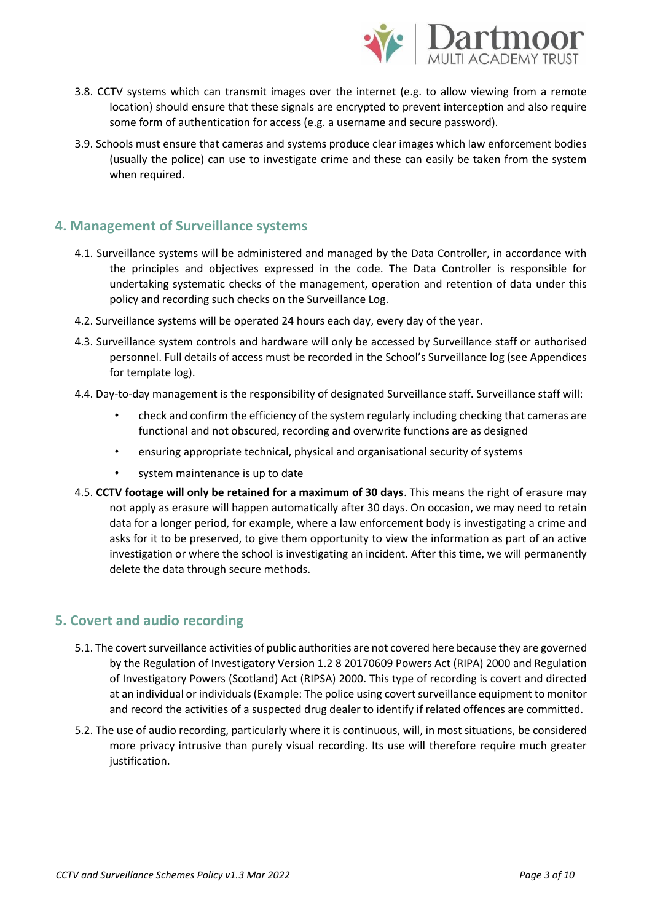

- 3.8. CCTV systems which can transmit images over the internet (e.g. to allow viewing from a remote location) should ensure that these signals are encrypted to prevent interception and also require some form of authentication for access (e.g. a username and secure password).
- 3.9. Schools must ensure that cameras and systems produce clear images which law enforcement bodies (usually the police) can use to investigate crime and these can easily be taken from the system when required.

#### **4. Management of Surveillance systems**

- 4.1. Surveillance systems will be administered and managed by the Data Controller, in accordance with the principles and objectives expressed in the code. The Data Controller is responsible for undertaking systematic checks of the management, operation and retention of data under this policy and recording such checks on the Surveillance Log.
- 4.2. Surveillance systems will be operated 24 hours each day, every day of the year.
- 4.3. Surveillance system controls and hardware will only be accessed by Surveillance staff or authorised personnel. Full details of access must be recorded in the School's Surveillance log (see Appendices for template log).
- 4.4. Day-to-day management is the responsibility of designated Surveillance staff. Surveillance staff will:
	- check and confirm the efficiency of the system regularly including checking that cameras are functional and not obscured, recording and overwrite functions are as designed
	- ensuring appropriate technical, physical and organisational security of systems
	- system maintenance is up to date
- 4.5. **CCTV footage will only be retained for a maximum of 30 days**. This means the right of erasure may not apply as erasure will happen automatically after 30 days. On occasion, we may need to retain data for a longer period, for example, where a law enforcement body is investigating a crime and asks for it to be preserved, to give them opportunity to view the information as part of an active investigation or where the school is investigating an incident. After this time, we will permanently delete the data through secure methods.

#### **5. Covert and audio recording**

- 5.1. The covert surveillance activities of public authorities are not covered here because they are governed by the Regulation of Investigatory Version 1.2 8 20170609 Powers Act (RIPA) 2000 and Regulation of Investigatory Powers (Scotland) Act (RIPSA) 2000. This type of recording is covert and directed at an individual or individuals (Example: The police using covert surveillance equipment to monitor and record the activities of a suspected drug dealer to identify if related offences are committed.
- 5.2. The use of audio recording, particularly where it is continuous, will, in most situations, be considered more privacy intrusive than purely visual recording. Its use will therefore require much greater justification.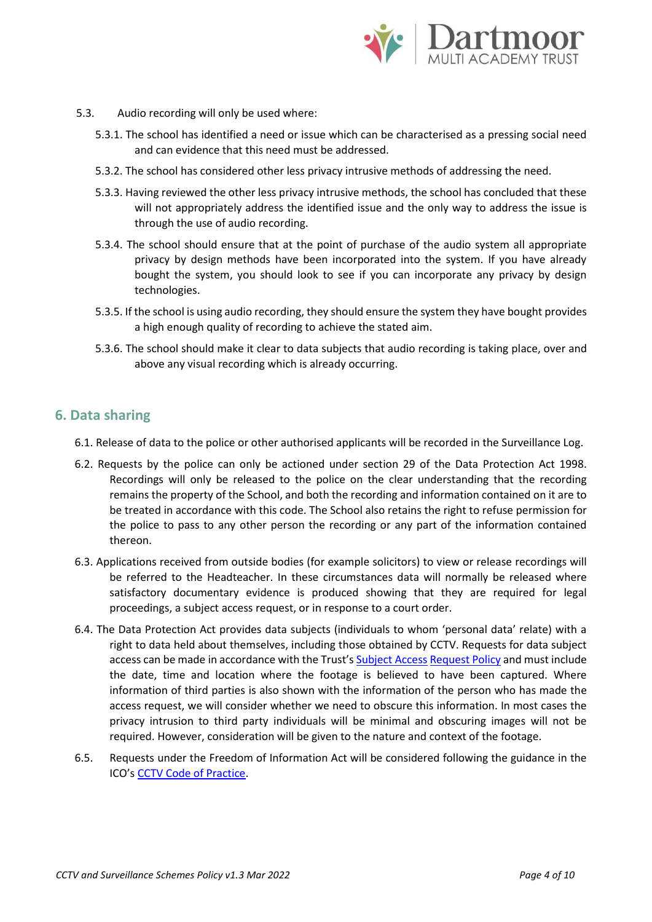

- 5.3. Audio recording will only be used where:
	- 5.3.1. The school has identified a need or issue which can be characterised as a pressing social need and can evidence that this need must be addressed.
	- 5.3.2. The school has considered other less privacy intrusive methods of addressing the need.
	- 5.3.3. Having reviewed the other less privacy intrusive methods, the school has concluded that these will not appropriately address the identified issue and the only way to address the issue is through the use of audio recording.
	- 5.3.4. The school should ensure that at the point of purchase of the audio system all appropriate privacy by design methods have been incorporated into the system. If you have already bought the system, you should look to see if you can incorporate any privacy by design technologies.
	- 5.3.5. If the school is using audio recording, they should ensure the system they have bought provides a high enough quality of recording to achieve the stated aim.
	- 5.3.6. The school should make it clear to data subjects that audio recording is taking place, over and above any visual recording which is already occurring.

#### **6. Data sharing**

- 6.1. Release of data to the police or other authorised applicants will be recorded in the Surveillance Log.
- 6.2. Requests by the police can only be actioned under section 29 of the Data Protection Act 1998. Recordings will only be released to the police on the clear understanding that the recording remains the property of the School, and both the recording and information contained on it are to be treated in accordance with this code. The School also retains the right to refuse permission for the police to pass to any other person the recording or any part of the information contained thereon.
- 6.3. Applications received from outside bodies (for example solicitors) to view or release recordings will be referred to the Headteacher. In these circumstances data will normally be released where satisfactory documentary evidence is produced showing that they are required for legal proceedings, a subject access request, or in response to a court order.
- 6.4. The Data Protection Act provides data subjects (individuals to whom 'personal data' relate) with a right to data held about themselves, including those obtained by CCTV. Requests for data subject access can be made in accordance with the Trust's [Subject Access](https://www.dartmoormat.org.uk/gdpr.html) [Request Policy](https://www.dartmoormat.org.uk/gdpr.html) and must include the date, time and location where the footage is believed to have been captured. Where information of third parties is also shown with the information of the person who has made the access request, we will consider whether we need to obscure this information. In most cases the privacy intrusion to third party individuals will be minimal and obscuring images will not be required. However, consideration will be given to the nature and context of the footage.
- 6.5. Requests under the Freedom of Information Act will be considered following the guidance in the ICO's [CCTV Code of Practice.](https://ico.org.uk/media/1542/cctv-code-of-practice.pdf)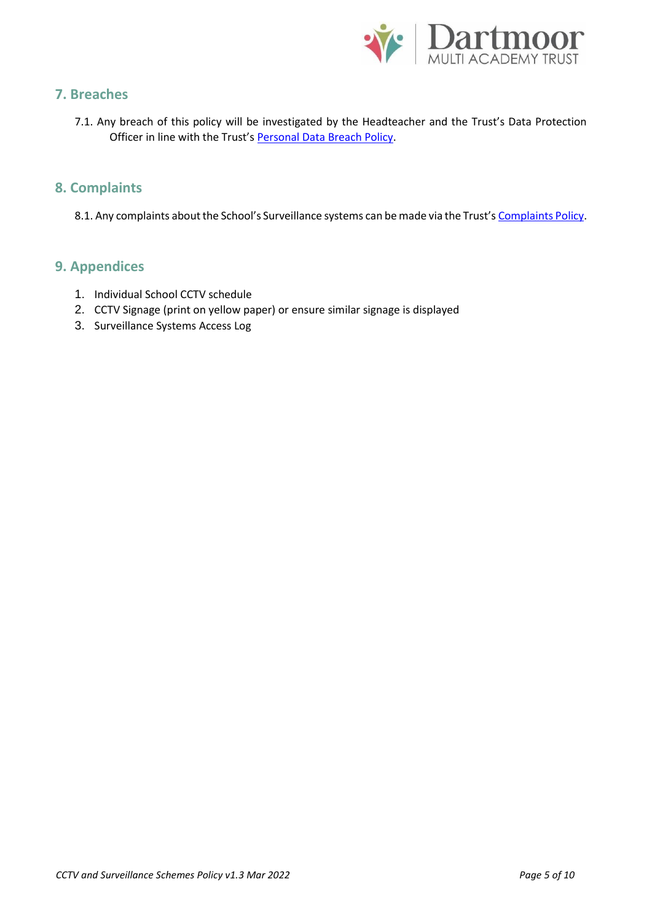

#### **7. Breaches**

7.1. Any breach of this policy will be investigated by the Headteacher and the Trust's Data Protection Officer in line with the Trust's Personal Data Breach Policy.

#### **8. Complaints**

8.1. Any complaints about the School's Surveillance systems can be made via the Trust's Complaints Policy.

#### **9. Appendices**

- 1. Individual School CCTV schedule
- 2. CCTV Signage (print on yellow paper) or ensure similar signage is displayed
- 3. Surveillance Systems Access Log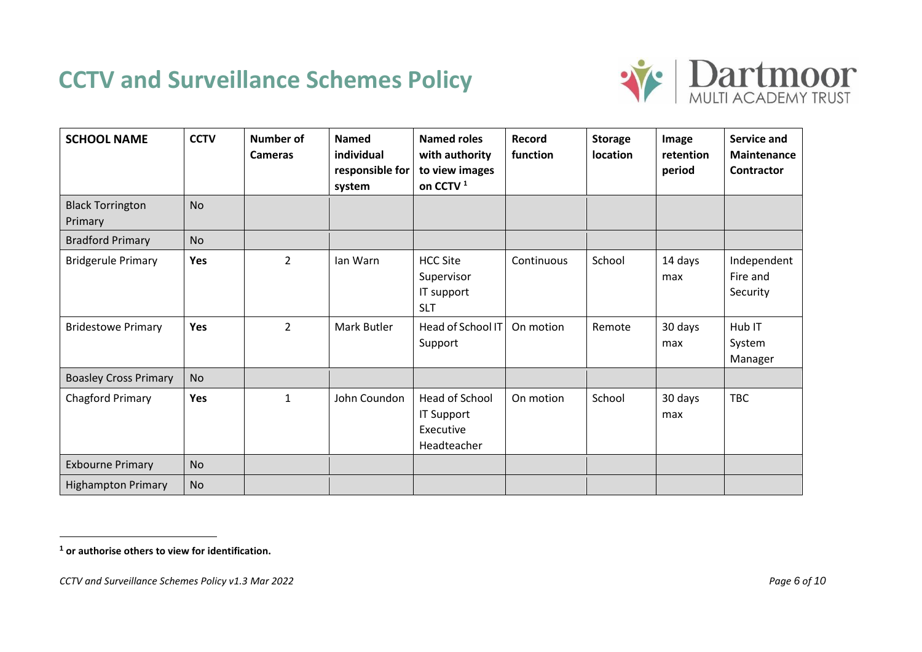### **CCTV and Surveillance Schemes Policy**



| <b>SCHOOL NAME</b>                 | <b>CCTV</b> | <b>Number of</b><br><b>Cameras</b> | <b>Named</b><br>individual<br>responsible for<br>system | <b>Named roles</b><br>with authority<br>to view images<br>on CCTV <sup>1</sup> | Record<br>function | <b>Storage</b><br>location | Image<br>retention<br>period | Service and<br><b>Maintenance</b><br><b>Contractor</b> |
|------------------------------------|-------------|------------------------------------|---------------------------------------------------------|--------------------------------------------------------------------------------|--------------------|----------------------------|------------------------------|--------------------------------------------------------|
| <b>Black Torrington</b><br>Primary | <b>No</b>   |                                    |                                                         |                                                                                |                    |                            |                              |                                                        |
| <b>Bradford Primary</b>            | <b>No</b>   |                                    |                                                         |                                                                                |                    |                            |                              |                                                        |
| <b>Bridgerule Primary</b>          | <b>Yes</b>  | $\overline{2}$                     | lan Warn                                                | <b>HCC Site</b><br>Supervisor<br>IT support<br><b>SLT</b>                      | Continuous         | School                     | 14 days<br>max               | Independent<br>Fire and<br>Security                    |
| <b>Bridestowe Primary</b>          | Yes         | $\overline{2}$                     | Mark Butler                                             | Head of School IT<br>Support                                                   | On motion          | Remote                     | 30 days<br>max               | Hub IT<br>System<br>Manager                            |
| <b>Boasley Cross Primary</b>       | <b>No</b>   |                                    |                                                         |                                                                                |                    |                            |                              |                                                        |
| <b>Chagford Primary</b>            | Yes         | $\mathbf{1}$                       | John Coundon                                            | Head of School<br>IT Support<br>Executive<br>Headteacher                       | On motion          | School                     | 30 days<br>max               | <b>TBC</b>                                             |
| <b>Exbourne Primary</b>            | <b>No</b>   |                                    |                                                         |                                                                                |                    |                            |                              |                                                        |
| <b>Highampton Primary</b>          | <b>No</b>   |                                    |                                                         |                                                                                |                    |                            |                              |                                                        |

**<sup>1</sup> or authorise others to view for identification.**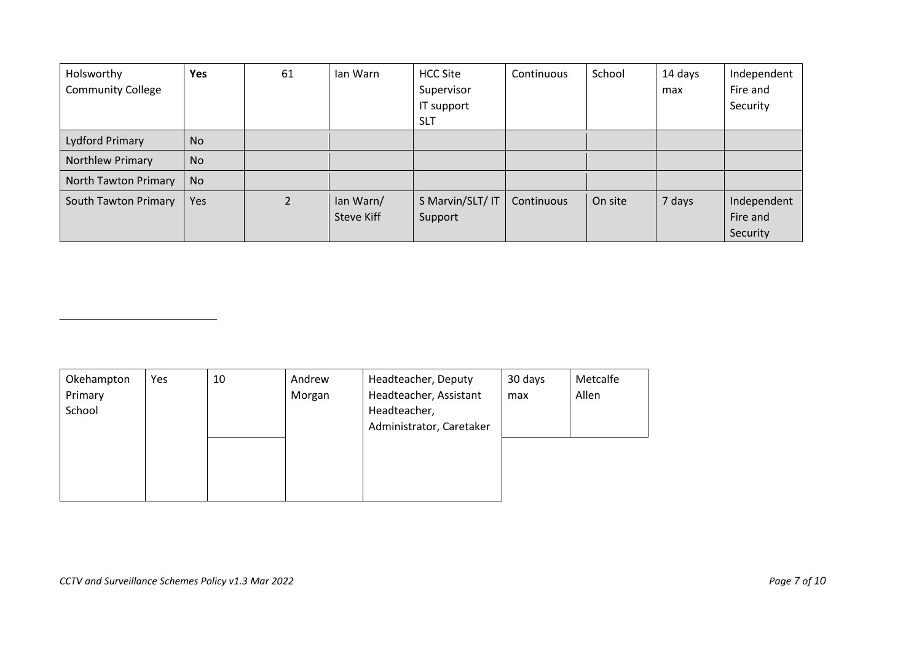| Holsworthy<br><b>Community College</b> | <b>Yes</b> | 61             | lan Warn                       | <b>HCC Site</b><br>Supervisor<br>IT support<br><b>SLT</b> | Continuous | School  | 14 days<br>max | Independent<br>Fire and<br>Security |
|----------------------------------------|------------|----------------|--------------------------------|-----------------------------------------------------------|------------|---------|----------------|-------------------------------------|
| Lydford Primary                        | No         |                |                                |                                                           |            |         |                |                                     |
| Northlew Primary                       | <b>No</b>  |                |                                |                                                           |            |         |                |                                     |
| North Tawton Primary                   | <b>No</b>  |                |                                |                                                           |            |         |                |                                     |
| South Tawton Primary                   | Yes        | $\overline{2}$ | lan Warn/<br><b>Steve Kiff</b> | S Marvin/SLT/ IT<br>Support                               | Continuous | On site | 7 days         | Independent<br>Fire and<br>Security |

| Okehampton | Yes | 10 | Andrew | Headteacher, Deputy      | 30 days | Metcalfe |
|------------|-----|----|--------|--------------------------|---------|----------|
| Primary    |     |    | Morgan | Headteacher, Assistant   | max     | Allen    |
| School     |     |    |        | Headteacher,             |         |          |
|            |     |    |        | Administrator, Caretaker |         |          |
|            |     |    |        |                          |         |          |
|            |     |    |        |                          |         |          |
|            |     |    |        |                          |         |          |
|            |     |    |        |                          |         |          |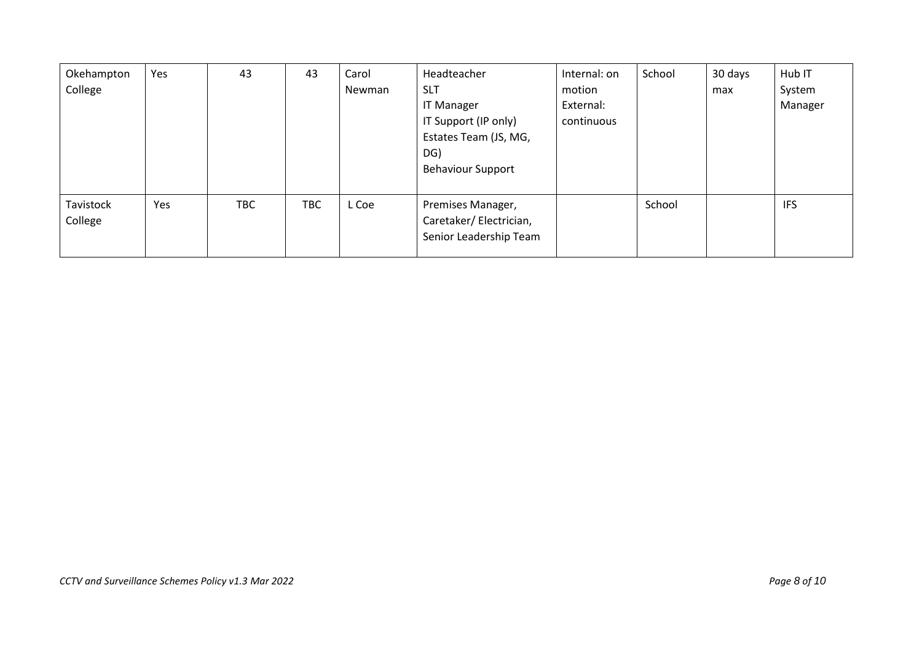| Okehampton<br>College | Yes | 43         | 43         | Carol<br>Newman | Headteacher<br><b>SLT</b><br><b>IT Manager</b><br>IT Support (IP only)<br>Estates Team (JS, MG,<br>DG)<br><b>Behaviour Support</b> | Internal: on<br>motion<br>External:<br>continuous | School | 30 days<br>max | Hub IT<br>System<br>Manager |
|-----------------------|-----|------------|------------|-----------------|------------------------------------------------------------------------------------------------------------------------------------|---------------------------------------------------|--------|----------------|-----------------------------|
| Tavistock<br>College  | Yes | <b>TBC</b> | <b>TBC</b> | L Coe           | Premises Manager,<br>Caretaker/Electrician,<br>Senior Leadership Team                                                              |                                                   | School |                | <b>IFS</b>                  |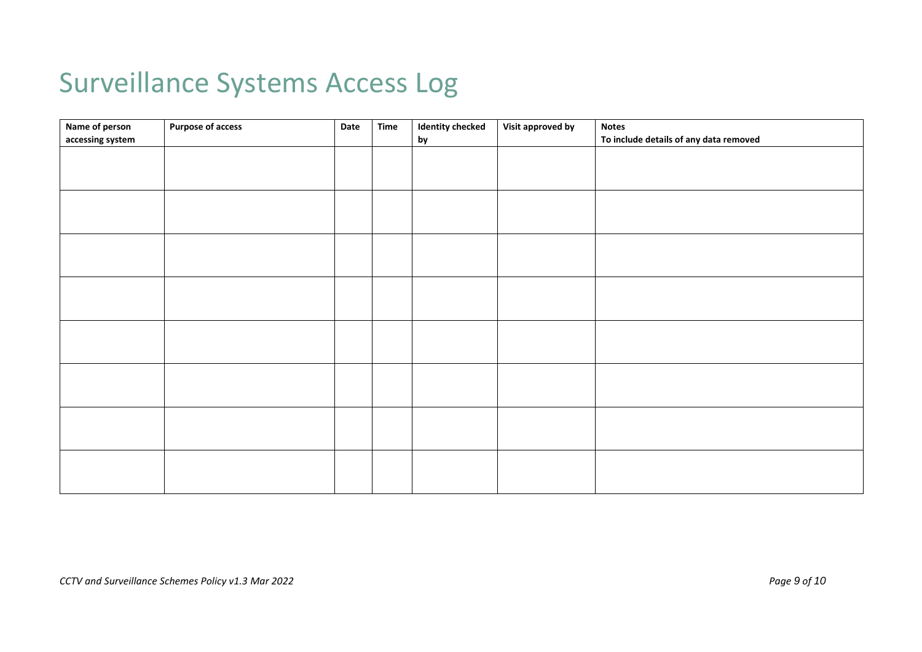# Surveillance Systems Access Log

| Name of person   | <b>Purpose of access</b> | Date | <b>Time</b> | <b>Identity checked</b> | Visit approved by | <b>Notes</b>                           |
|------------------|--------------------------|------|-------------|-------------------------|-------------------|----------------------------------------|
| accessing system |                          |      |             | by                      |                   | To include details of any data removed |
|                  |                          |      |             |                         |                   |                                        |
|                  |                          |      |             |                         |                   |                                        |
|                  |                          |      |             |                         |                   |                                        |
|                  |                          |      |             |                         |                   |                                        |
|                  |                          |      |             |                         |                   |                                        |
|                  |                          |      |             |                         |                   |                                        |
|                  |                          |      |             |                         |                   |                                        |
|                  |                          |      |             |                         |                   |                                        |
|                  |                          |      |             |                         |                   |                                        |
|                  |                          |      |             |                         |                   |                                        |
|                  |                          |      |             |                         |                   |                                        |
|                  |                          |      |             |                         |                   |                                        |
|                  |                          |      |             |                         |                   |                                        |
|                  |                          |      |             |                         |                   |                                        |
|                  |                          |      |             |                         |                   |                                        |
|                  |                          |      |             |                         |                   |                                        |
|                  |                          |      |             |                         |                   |                                        |
|                  |                          |      |             |                         |                   |                                        |
|                  |                          |      |             |                         |                   |                                        |
|                  |                          |      |             |                         |                   |                                        |
|                  |                          |      |             |                         |                   |                                        |
|                  |                          |      |             |                         |                   |                                        |
|                  |                          |      |             |                         |                   |                                        |
|                  |                          |      |             |                         |                   |                                        |